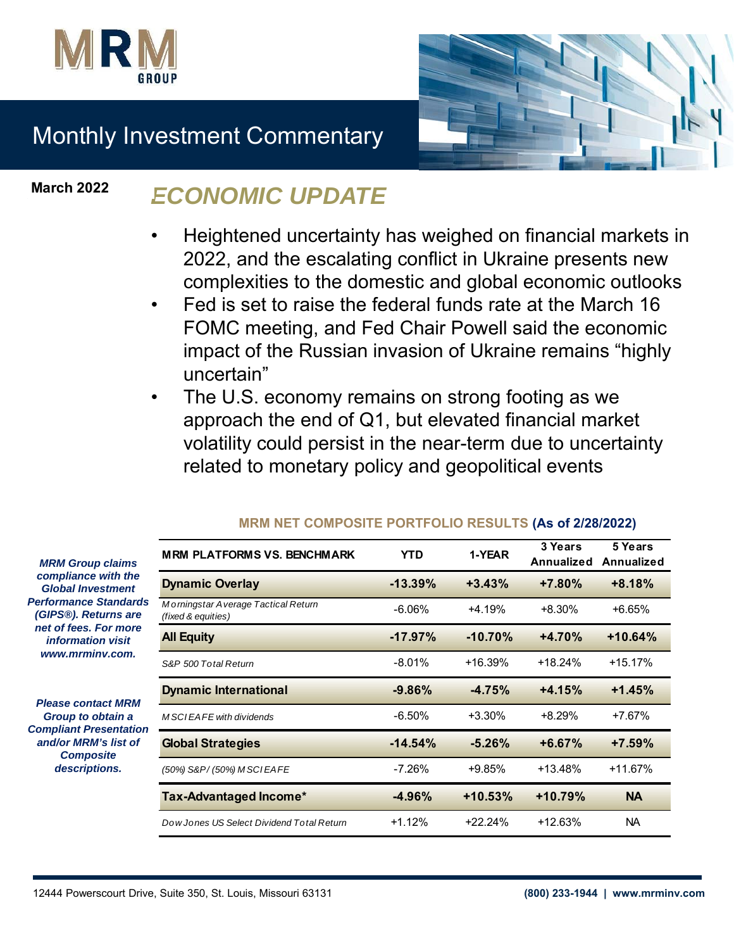



# Monthly Investment Commentary

**March 2022**

## *ECONOMIC UPDATE*

- Heightened uncertainty has weighed on financial markets in 2022, and the escalating conflict in Ukraine presents new complexities to the domestic and global economic outlooks
- Fed is set to raise the federal funds rate at the March 16 FOMC meeting, and Fed Chair Powell said the economic impact of the Russian invasion of Ukraine remains "highly uncertain"
- The U.S. economy remains on strong footing as we approach the end of Q1, but elevated financial market volatility could persist in the near-term due to uncertainty related to monetary policy and geopolitical events

| <b>MRM PLATFORMS VS. BENCHMARK</b>                        | YTD.       | 1-YEAR    | 3 Years<br><b>Annualized</b> | 5 Years<br>Annualized |
|-----------------------------------------------------------|------------|-----------|------------------------------|-----------------------|
| <b>Dynamic Overlay</b>                                    | $-13.39%$  | $+3.43%$  | $+7.80\%$                    | $+8.18%$              |
| Morningstar Average Tactical Return<br>(fixed & equities) | $-6.06%$   | $+4.19%$  | $+8.30%$                     | $+6.65%$              |
| <b>All Equity</b>                                         | $-17.97\%$ | $-10.70%$ | $+4.70%$                     | $+10.64%$             |
| S&P 500 Total Return                                      | $-8.01\%$  | $+16.39%$ | $+18.24%$                    | $+15.17%$             |
| <b>Dynamic International</b>                              | $-9.86%$   | $-4.75%$  | $+4.15%$                     | $+1.45%$              |
| M SCIEAFE with dividends                                  | $-6.50\%$  | $+3.30\%$ | $+8.29%$                     | $+7.67%$              |
| <b>Global Strategies</b>                                  | $-14.54%$  | $-5.26%$  | $+6.67%$                     | $+7.59\%$             |
| (50%) S&P/(50%) M SCIEAFE                                 | -7.26%     | $+9.85%$  | $+13.48%$                    | $+11.67%$             |
| Tax-Advantaged Income*                                    | $-4.96%$   | $+10.53%$ | $+10.79%$                    | <b>NA</b>             |
| Dow Jones US Select Dividend Total Return                 | $+1.12%$   | $+22.24%$ | +12.63%                      | NA.                   |

### **MRM NET COMPOSITE PORTFOLIO RESULTS (As of 2/28/2022)**

*MRM Group claims compliance with the Global Investment*  **Performance Standard** *(GIPS®). Returns are net of fees. For more information visit www.mrminv.com.*

*Please contact MRM Group to obtain a*  **Compliant Presentation** *and/or MRM's list of Composite descriptions.*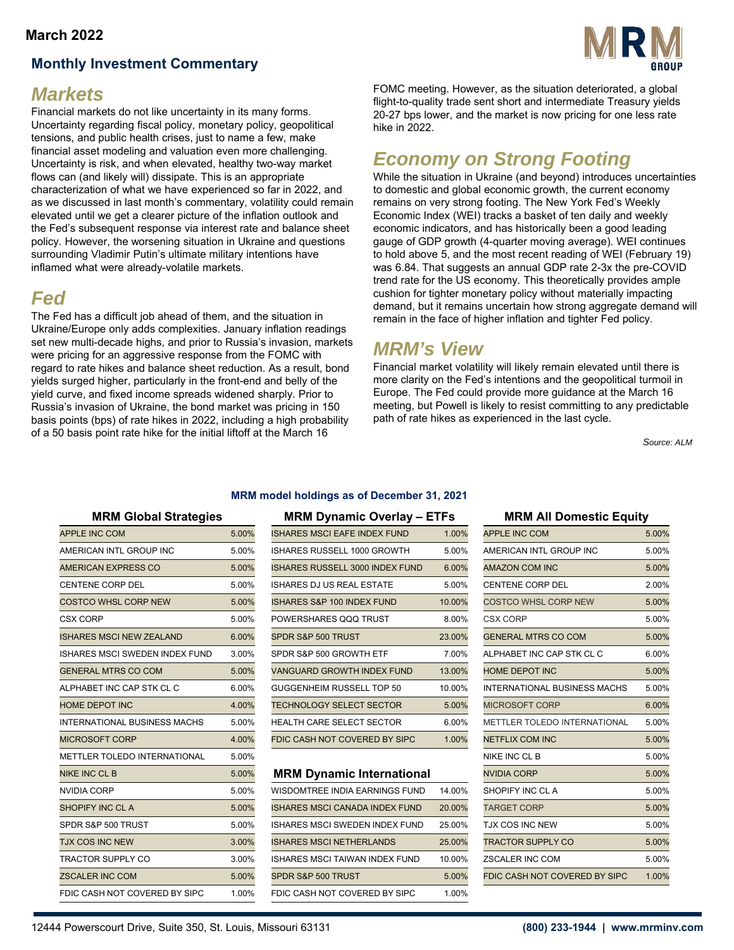#### **March 2022**

### **Monthly Investment Commentary**



### *Markets*

Financial markets do not like uncertainty in its many forms. Uncertainty regarding fiscal policy, monetary policy, geopolitical tensions, and public health crises, just to name a few, make financial asset modeling and valuation even more challenging. Uncertainty is risk, and when elevated, healthy two-way market flows can (and likely will) dissipate. This is an appropriate characterization of what we have experienced so far in 2022, and as we discussed in last month's commentary, volatility could remain elevated until we get a clearer picture of the inflation outlook and the Fed's subsequent response via interest rate and balance sheet policy. However, the worsening situation in Ukraine and questions surrounding Vladimir Putin's ultimate military intentions have inflamed what were already-volatile markets.

## *Fed*

The Fed has a difficult job ahead of them, and the situation in Ukraine/Europe only adds complexities. January inflation readings set new multi-decade highs, and prior to Russia's invasion, markets were pricing for an aggressive response from the FOMC with regard to rate hikes and balance sheet reduction. As a result, bond yields surged higher, particularly in the front-end and belly of the yield curve, and fixed income spreads widened sharply. Prior to Russia's invasion of Ukraine, the bond market was pricing in 150 basis points (bps) of rate hikes in 2022, including a high probability of a 50 basis point rate hike for the initial liftoff at the March 16

FOMC meeting. However, as the situation deteriorated, a global flight-to-quality trade sent short and intermediate Treasury yields 20-27 bps lower, and the market is now pricing for one less rate hike in 2022.

### *Economy on Strong Footing*

While the situation in Ukraine (and beyond) introduces uncertainties to domestic and global economic growth, the current economy remains on very strong footing. The New York Fed's Weekly Economic Index (WEI) tracks a basket of ten daily and weekly economic indicators, and has historically been a good leading gauge of GDP growth (4-quarter moving average). WEI continues to hold above 5, and the most recent reading of WEI (February 19) was 6.84. That suggests an annual GDP rate 2-3x the pre-COVID trend rate for the US economy. This theoretically provides ample cushion for tighter monetary policy without materially impacting demand, but it remains uncertain how strong aggregate demand will remain in the face of higher inflation and tighter Fed policy.

### *MRM's View*

Financial market volatility will likely remain elevated until there is more clarity on the Fed's intentions and the geopolitical turmoil in Europe. The Fed could provide more guidance at the March 16 meeting, but Powell is likely to resist committing to any predictable path of rate hikes as experienced in the last cycle.

*Source: ALM*

#### **MRM model holdings as of December 31, 2021**

| <b>APPLE INC COM</b>                  | 5.00% | <b>ISHARES MSCI EAFE INDEX FUND</b>    | 1.00%  | <b>APPLE INC COM</b>                | 5.00% |
|---------------------------------------|-------|----------------------------------------|--------|-------------------------------------|-------|
| AMERICAN INTL GROUP INC               | 5.00% | ISHARES RUSSELL 1000 GROWTH            | 5.00%  | AMERICAN INTL GROUP INC             | 5.00% |
| AMERICAN EXPRESS CO                   | 5.00% | <b>ISHARES RUSSELL 3000 INDEX FUND</b> | 6.00%  | <b>AMAZON COM INC</b>               | 5.00% |
| <b>CENTENE CORP DEL</b>               | 5.00% | <b>ISHARES DJ US REAL ESTATE</b>       | 5.00%  | <b>CENTENE CORP DEL</b>             | 2.00% |
| <b>COSTCO WHSL CORP NEW</b>           | 5.00% | <b>ISHARES S&amp;P 100 INDEX FUND</b>  | 10.00% | <b>COSTCO WHSL CORP NEW</b>         | 5.00% |
| <b>CSX CORP</b>                       | 5.00% | POWERSHARES QQQ TRUST                  | 8.00%  | <b>CSX CORP</b>                     | 5.00% |
| <b>ISHARES MSCI NEW ZEALAND</b>       | 6.00% | SPDR S&P 500 TRUST                     | 23.00% | <b>GENERAL MTRS CO COM</b>          | 5.00% |
| <b>ISHARES MSCI SWEDEN INDEX FUND</b> | 3.00% | SPDR S&P 500 GROWTH ETF                | 7.00%  | ALPHABET INC CAP STK CL C           | 6.00% |
| <b>GENERAL MTRS CO COM</b>            | 5.00% | VANGUARD GROWTH INDEX FUND             | 13.00% | <b>HOME DEPOT INC</b>               | 5.00% |
| ALPHABET INC CAP STK CL C             | 6.00% | GUGGENHEIM RUSSELL TOP 50              | 10.00% | <b>INTERNATIONAL BUSINESS MACHS</b> | 5.00% |
| <b>HOME DEPOT INC</b>                 | 4.00% | <b>TECHNOLOGY SELECT SECTOR</b>        | 5.00%  | <b>MICROSOFT CORP</b>               | 6.00% |
| <b>INTERNATIONAL BUSINESS MACHS</b>   | 5.00% | <b>HEALTH CARE SELECT SECTOR</b>       | 6.00%  | METTLER TOLEDO INTERNATIONAL        | 5.00% |
| <b>MICROSOFT CORP</b>                 | 4.00% | FDIC CASH NOT COVERED BY SIPC          | 1.00%  | <b>NETFLIX COM INC</b>              | 5.00% |
| <b>METTLER TOLEDO INTERNATIONAL</b>   | 5.00% |                                        |        | NIKE INC CL B                       | 5.00% |
| <b>NIKE INC CL B</b>                  | 5.00% | <b>MRM Dynamic International</b>       |        | <b>NVIDIA CORP</b>                  | 5.00% |
| <b>NVIDIA CORP</b>                    | 5.00% | WISDOMTREE INDIA EARNINGS FUND         | 14.00% | SHOPIFY INC CLA                     | 5.00% |
| SHOPIFY INC CL A                      | 5.00% | <b>ISHARES MSCI CANADA INDEX FUND</b>  | 20.00% | <b>TARGET CORP</b>                  | 5.00% |
| SPDR S&P 500 TRUST                    | 5.00% | ISHARES MSCI SWEDEN INDEX FUND         | 25.00% | <b>TJX COS INC NEW</b>              | 5.00% |
| <b>TJX COS INC NEW</b>                | 3.00% | <b>ISHARES MSCI NETHERLANDS</b>        | 25.00% | <b>TRACTOR SUPPLY CO</b>            | 5.00% |
| <b>TRACTOR SUPPLY CO</b>              | 3.00% | <b>ISHARES MSCI TAIWAN INDEX FUND</b>  | 10.00% | <b>ZSCALER INC COM</b>              | 5.00% |
| <b>ZSCALER INC COM</b>                | 5.00% | SPDR S&P 500 TRUST                     | 5.00%  | FDIC CASH NOT COVERED BY SIPC       | 1.00% |
| FDIC CASH NOT COVERED BY SIPC         | 1.00% | FDIC CASH NOT COVERED BY SIPC          | 1.00%  |                                     |       |
|                                       |       |                                        |        |                                     |       |

#### **MRM Global Strategies MRM Dynamic Overlay – ETFs MRM All Domestic Equity**

| APPLE INC COM                  | 5.00% | <b>ISHARES MSCI EAFE INDEX FUND</b>    | 1.00%  | <b>APPLE INC COM</b>         | 5.00% |
|--------------------------------|-------|----------------------------------------|--------|------------------------------|-------|
| AMERICAN INTL GROUP INC        | 5.00% | ISHARES RUSSELL 1000 GROWTH            | 5.00%  | AMERICAN INTL GROUP INC      | 5.00% |
| AMERICAN EXPRESS CO            | 5.00% | <b>ISHARES RUSSELL 3000 INDEX FUND</b> | 6.00%  | <b>AMAZON COM INC</b>        | 5.00% |
| CENTENE CORP DEL               | 5.00% | <b>ISHARES DJ US REAL ESTATE</b>       | 5.00%  | <b>CENTENE CORP DEL</b>      | 2.00% |
| COSTCO WHSL CORP NEW           | 5.00% | <b>ISHARES S&amp;P 100 INDEX FUND</b>  | 10.00% | <b>COSTCO WHSL CORP NEW</b>  | 5.00% |
| CSX CORP                       | 5.00% | POWERSHARES QQQ TRUST                  | 8.00%  | <b>CSX CORP</b>              | 5.00% |
| ISHARES MSCI NEW ZEALAND       | 6.00% | SPDR S&P 500 TRUST                     | 23.00% | <b>GENERAL MTRS CO COM</b>   | 5.00% |
| ISHARES MSCI SWEDEN INDEX FUND | 3.00% | SPDR S&P 500 GROWTH ETF                | 7.00%  | ALPHABET INC CAP STK CL C    | 6.00% |
| GENERAL MTRS CO COM            | 5.00% | VANGUARD GROWTH INDEX FUND             | 13.00% | <b>HOME DEPOT INC</b>        | 5.00% |
| ALPHABET INC CAP STK CL C      | 6.00% | GUGGENHEIM RUSSELL TOP 50              | 10.00% | INTERNATIONAL BUSINESS MACHS | 5.00% |
| HOME DEPOT INC                 | 4.00% | <b>TECHNOLOGY SELECT SECTOR</b>        | 5.00%  | <b>MICROSOFT CORP</b>        | 6.00% |
| INTERNATIONAL BUSINESS MACHS   | 5.00% | <b>HEALTH CARE SELECT SECTOR</b>       | 6.00%  | METTLER TOLEDO INTERNATIONAL | 5.00% |
| MICROSOFT CORP                 | 4.00% | FDIC CASH NOT COVERED BY SIPC          | 1.00%  | <b>NETFLIX COM INC</b>       | 5.00% |
|                                |       |                                        |        |                              |       |

#### **MRM Dynamic International**

| NVIDIA CORP                   | 5.00% | WISDOMTREE INDIA EARNINGS FUND        | 14.00% | SHOPIFY INC CL A              | 5.00% |
|-------------------------------|-------|---------------------------------------|--------|-------------------------------|-------|
| SHOPIFY INC CL A              | 5.00% | <b>ISHARES MSCI CANADA INDEX FUND</b> | 20.00% | <b>TARGET CORP</b>            | 5.00% |
| SPDR S&P 500 TRUST            | 5.00% | ISHARES MSCI SWEDEN INDEX FUND        | 25.00% | <b>TJX COS INC NEW</b>        | 5.00% |
| TJX COS INC NEW               | 3.00% | <b>ISHARES MSCI NETHERLANDS</b>       | 25.00% | <b>TRACTOR SUPPLY CO</b>      | 5.00% |
| TRACTOR SUPPLY CO             | 3.00% | ISHARES MSCI TAIWAN INDEX FUND        | 10.00% | ZSCALER INC COM               | 5.00% |
| ZSCALER INC COM               | 5.00% | SPDR S&P 500 TRUST                    | 5.00%  | FDIC CASH NOT COVERED BY SIPC | 1.00% |
| FDIC CASH NOT COVERED BY SIPC | 1.00% | FDIC CASH NOT COVERED BY SIPC         | 1.00%  |                               |       |

| שוויטע אוויטע ווא                   |       |  |  |  |  |  |
|-------------------------------------|-------|--|--|--|--|--|
| <b>APPLE INC COM</b>                | 5.00% |  |  |  |  |  |
| AMERICAN INTL GROUP INC             | 5.00% |  |  |  |  |  |
| <b>AMAZON COM INC</b>               | 5.00% |  |  |  |  |  |
| <b>CENTENE CORP DEL</b>             | 2.00% |  |  |  |  |  |
| <b>COSTCO WHSL CORP NEW</b>         | 5.00% |  |  |  |  |  |
| <b>CSX CORP</b>                     | 5.00% |  |  |  |  |  |
| <b>GENERAL MTRS CO COM</b>          | 5.00% |  |  |  |  |  |
| ALPHABET INC CAP STK CL C           | 6.00% |  |  |  |  |  |
| <b>HOME DEPOT INC</b>               | 5.00% |  |  |  |  |  |
| <b>INTERNATIONAL BUSINESS MACHS</b> | 5.00% |  |  |  |  |  |
| <b>MICROSOFT CORP</b>               | 6.00% |  |  |  |  |  |
| <b>METTLER TOLEDO INTERNATIONAL</b> | 5.00% |  |  |  |  |  |
| <b>NETFLIX COM INC</b>              | 5.00% |  |  |  |  |  |
| NIKE INC CL B                       | 5.00% |  |  |  |  |  |
| <b>NVIDIA CORP</b>                  | 5.00% |  |  |  |  |  |
| SHOPIFY INC CL A                    | 5.00% |  |  |  |  |  |
| <b>TARGET CORP</b>                  | 5.00% |  |  |  |  |  |
| <b>TJX COS INC NEW</b>              | 5.00% |  |  |  |  |  |
| <b>TRACTOR SUPPLY CO</b>            | 5.00% |  |  |  |  |  |
| <b>ZSCALER INC COM</b>              | 5.00% |  |  |  |  |  |
| FDIC CASH NOT COVERED BY SIPC       | 1.00% |  |  |  |  |  |
|                                     |       |  |  |  |  |  |